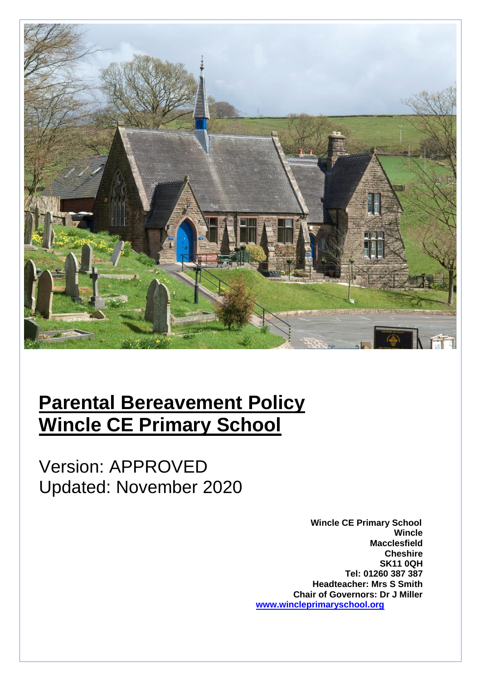

# **Parental Bereavement Policy Wincle CE Primary School**

Version: APPROVED Updated: November 2020

> **Wincle CE Primary School Wincle Macclesfield Cheshire SK11 0QH Tel: 01260 387 387 Headteacher: Mrs S Smith Chair of Governors: Dr J Miller [www.wincleprimaryschool.org](http://www.wincleprimaryschool.org/)**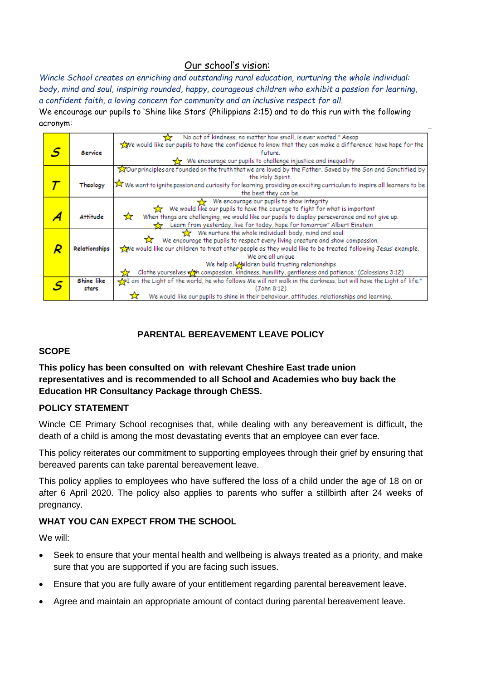# Our school's vision:

*Wincle School creates an enriching and outstanding rural education, nurturing the whole individual: body, mind and soul, inspiring rounded, happy, courageous children who exhibit a passion for learning, a confident faith, a loving concern for community and an inclusive respect for all.* We encourage our pupils to 'Shine like Stars' (Philippians 2:15) and to do this run with the following acronym:

|    |               | No act of kindness, no matter how small, is ever wasted." Aesop                                                                                        |
|----|---------------|--------------------------------------------------------------------------------------------------------------------------------------------------------|
|    |               | we would like our pupils to have the confidence to know that they can make a difference: have hope for the                                             |
| .S | Service       | future.                                                                                                                                                |
|    |               | We encourage our pupils to challenge injustice and inequality                                                                                          |
|    |               | Tour principles are founded on the truth that we are loved by the Father, Saved by the Son and Sanctified by                                           |
|    |               | the Holy Spirit.                                                                                                                                       |
|    | Theology      | $\widetilde{\blacktriangleright}$ We want to ignite passion and curiosity for learning, providing an exciting curriculum to inspire all learners to be |
|    |               | the best they can be.                                                                                                                                  |
|    |               | We encourage our pupils to show integrity                                                                                                              |
|    |               | We would like our pupils to have the courage to fight for what is important                                                                            |
|    | Attitude      | ☆<br>When things are challenging, we would like our pupils to display perseverance and not give up.                                                    |
|    |               | Learn from yesterday, live for today, hope for tomorrow" Albert Einstein                                                                               |
|    |               | We nurture the whole individual: body, mind and soul                                                                                                   |
|    |               | $\hat{\mathbf{X}}$ We encourage the pupils to respect every living creature and show compassion.                                                       |
|    | Relationships | we would like our children to treat other people as they would like to be treated following Jesus' example.                                            |
|    |               | We are all unique                                                                                                                                      |
|    |               | We help all Naildren build trusting relationships                                                                                                      |
|    |               | Clothe yourselves with compassion, kindness, humility, gentleness and patience.' (Colossians 3:12)                                                     |
|    | Shine like    | $\frac{1}{\sqrt{2}}$ I am the Light of the world; he who follows Me will not walk in the darkness, but will have the Light of life."                   |
|    | stars         | (John 8:12)                                                                                                                                            |
|    |               | We would like our pupils to shine in their behaviour, attitudes, relationships and learning.                                                           |

# **PARENTAL BEREAVEMENT LEAVE POLICY**

## **SCOPE**

**This policy has been consulted on with relevant Cheshire East trade union representatives and is recommended to all School and Academies who buy back the Education HR Consultancy Package through ChESS.**

## **POLICY STATEMENT**

Wincle CE Primary School recognises that, while dealing with any bereavement is difficult, the death of a child is among the most devastating events that an employee can ever face.

This policy reiterates our commitment to supporting employees through their grief by ensuring that bereaved parents can take parental bereavement leave.

This policy applies to employees who have suffered the loss of a child under the age of 18 on or after 6 April 2020. The policy also applies to parents who suffer a stillbirth after 24 weeks of pregnancy.

## **WHAT YOU CAN EXPECT FROM THE SCHOOL**

We will:

- Seek to ensure that your mental health and wellbeing is always treated as a priority, and make sure that you are supported if you are facing such issues.
- Ensure that you are fully aware of your entitlement regarding parental bereavement leave.
- Agree and maintain an appropriate amount of contact during parental bereavement leave.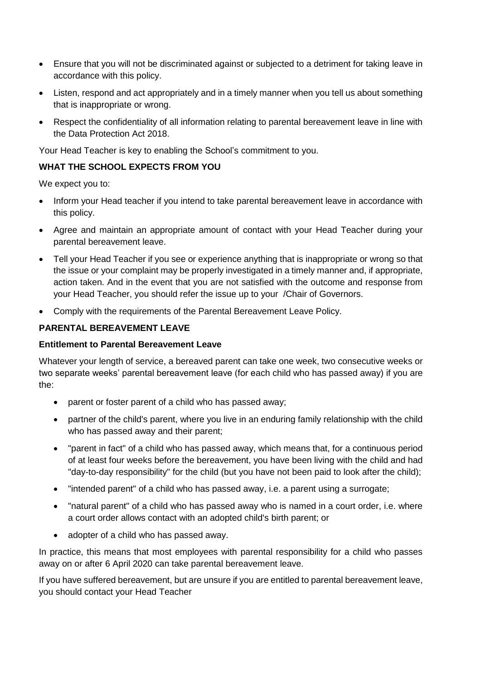- Ensure that you will not be discriminated against or subjected to a detriment for taking leave in accordance with this policy.
- Listen, respond and act appropriately and in a timely manner when you tell us about something that is inappropriate or wrong.
- Respect the confidentiality of all information relating to parental bereavement leave in line with the Data Protection Act 2018.

Your Head Teacher is key to enabling the School's commitment to you.

#### **WHAT THE SCHOOL EXPECTS FROM YOU**

We expect you to:

- Inform your Head teacher if you intend to take parental bereavement leave in accordance with this policy.
- Agree and maintain an appropriate amount of contact with your Head Teacher during your parental bereavement leave.
- Tell your Head Teacher if you see or experience anything that is inappropriate or wrong so that the issue or your complaint may be properly investigated in a timely manner and, if appropriate, action taken. And in the event that you are not satisfied with the outcome and response from your Head Teacher, you should refer the issue up to your /Chair of Governors.
- Comply with the requirements of the Parental Bereavement Leave Policy.

## **PARENTAL BEREAVEMENT LEAVE**

#### **Entitlement to Parental Bereavement Leave**

Whatever your length of service, a bereaved parent can take one week, two consecutive weeks or two separate weeks' parental bereavement leave (for each child who has passed away) if you are the:

- parent or foster parent of a child who has passed away;
- partner of the child's parent, where you live in an enduring family relationship with the child who has passed away and their parent;
- "parent in fact" of a child who has passed away, which means that, for a continuous period of at least four weeks before the bereavement, you have been living with the child and had "day-to-day responsibility" for the child (but you have not been paid to look after the child);
- "intended parent" of a child who has passed away, i.e. a parent using a surrogate;
- "natural parent" of a child who has passed away who is named in a court order, i.e. where a court order allows contact with an adopted child's birth parent; or
- adopter of a child who has passed away.

In practice, this means that most employees with parental responsibility for a child who passes away on or after 6 April 2020 can take parental bereavement leave.

If you have suffered bereavement, but are unsure if you are entitled to parental bereavement leave, you should contact your Head Teacher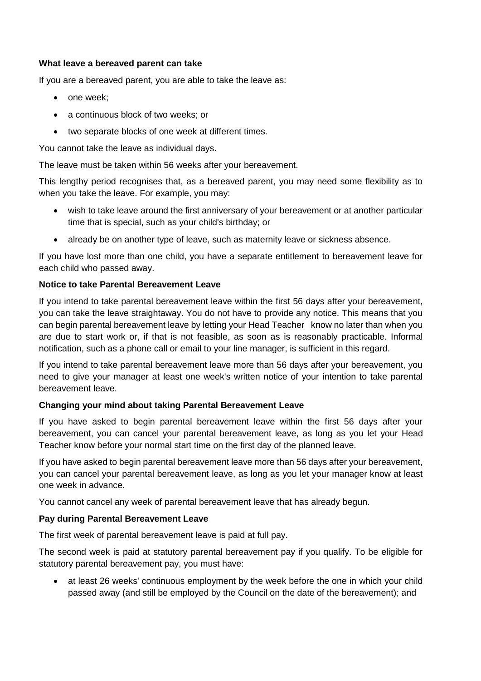#### **What leave a bereaved parent can take**

If you are a bereaved parent, you are able to take the leave as:

- one week;
- a continuous block of two weeks; or
- two separate blocks of one week at different times.

You cannot take the leave as individual days.

The leave must be taken within 56 weeks after your bereavement.

This lengthy period recognises that, as a bereaved parent, you may need some flexibility as to when you take the leave. For example, you may:

- wish to take leave around the first anniversary of your bereavement or at another particular time that is special, such as your child's birthday; or
- already be on another type of leave, such as maternity leave or sickness absence.

If you have lost more than one child, you have a separate entitlement to bereavement leave for each child who passed away.

## **Notice to take Parental Bereavement Leave**

If you intend to take parental bereavement leave within the first 56 days after your bereavement, you can take the leave straightaway. You do not have to provide any notice. This means that you can begin parental bereavement leave by letting your Head Teacher know no later than when you are due to start work or, if that is not feasible, as soon as is reasonably practicable. Informal notification, such as a phone call or email to your line manager, is sufficient in this regard.

If you intend to take parental bereavement leave more than 56 days after your bereavement, you need to give your manager at least one week's written notice of your intention to take parental bereavement leave.

## **Changing your mind about taking Parental Bereavement Leave**

If you have asked to begin parental bereavement leave within the first 56 days after your bereavement, you can cancel your parental bereavement leave, as long as you let your Head Teacher know before your normal start time on the first day of the planned leave.

If you have asked to begin parental bereavement leave more than 56 days after your bereavement, you can cancel your parental bereavement leave, as long as you let your manager know at least one week in advance.

You cannot cancel any week of parental bereavement leave that has already begun.

## **Pay during Parental Bereavement Leave**

The first week of parental bereavement leave is paid at full pay.

The second week is paid at statutory parental bereavement pay if you qualify. To be eligible for statutory parental bereavement pay, you must have:

• at least 26 weeks' continuous employment by the week before the one in which your child passed away (and still be employed by the Council on the date of the bereavement); and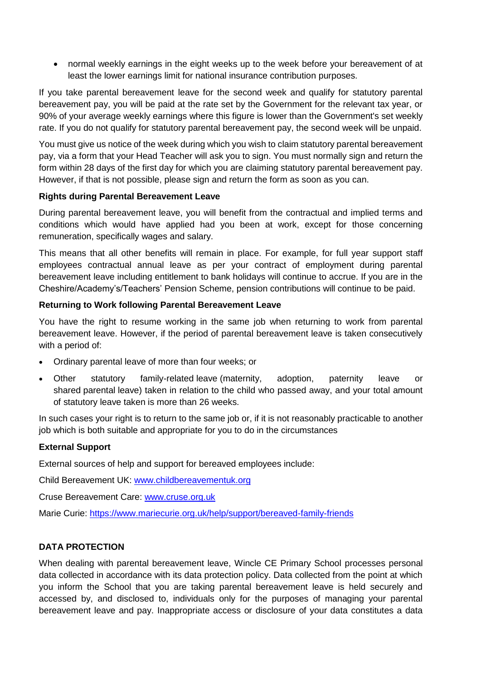• normal weekly earnings in the eight weeks up to the week before your bereavement of at least the lower earnings limit for national insurance contribution purposes.

If you take parental bereavement leave for the second week and qualify for statutory parental bereavement pay, you will be paid at the rate set by the Government for the relevant tax year, or 90% of your average weekly earnings where this figure is lower than the Government's set weekly rate. If you do not qualify for statutory parental bereavement pay, the second week will be unpaid.

You must give us notice of the week during which you wish to claim statutory parental bereavement pay, via a form that your Head Teacher will ask you to sign. You must normally sign and return the form within 28 days of the first day for which you are claiming statutory parental bereavement pay. However, if that is not possible, please sign and return the form as soon as you can.

#### **Rights during Parental Bereavement Leave**

During parental bereavement leave, you will benefit from the contractual and implied terms and conditions which would have applied had you been at work, except for those concerning remuneration, specifically wages and salary.

This means that all other benefits will remain in place. For example, for full year support staff employees contractual annual leave as per your contract of employment during parental bereavement leave including entitlement to bank holidays will continue to accrue. If you are in the Cheshire/Academy's/Teachers' Pension Scheme, pension contributions will continue to be paid.

#### **Returning to Work following Parental Bereavement Leave**

You have the right to resume working in the same job when returning to work from parental bereavement leave. However, if the period of parental bereavement leave is taken consecutively with a period of:

- Ordinary parental leave of more than four weeks; or
- Other statutory family-related leave (maternity, adoption, paternity leave or shared parental leave) taken in relation to the child who passed away, and your total amount of statutory leave taken is more than 26 weeks.

In such cases your right is to return to the same job or, if it is not reasonably practicable to another job which is both suitable and appropriate for you to do in the circumstances

## **External Support**

External sources of help and support for bereaved employees include:

Child Bereavement UK: [www.childbereavementuk.org](http://www.childbereavementuk.org/)

Cruse Bereavement Care: [www.cruse.org.uk](http://www.cruse.org.uk/)

Marie Curie:<https://www.mariecurie.org.uk/help/support/bereaved-family-friends>

## **DATA PROTECTION**

When dealing with parental bereavement leave, Wincle CE Primary School processes personal data collected in accordance with its data protection policy. Data collected from the point at which you inform the School that you are taking parental bereavement leave is held securely and accessed by, and disclosed to, individuals only for the purposes of managing your parental bereavement leave and pay. Inappropriate access or disclosure of your data constitutes a data